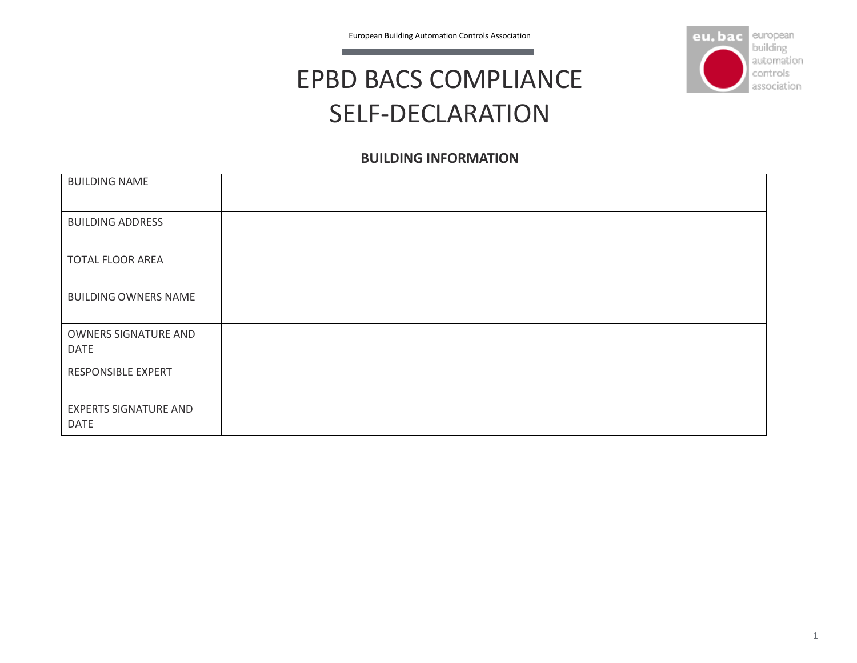

## EPBD BACS COMPLIANCE SELF-DECLARATION

## **BUILDING INFORMATION**

| <b>BUILDING NAME</b>                        |  |
|---------------------------------------------|--|
| <b>BUILDING ADDRESS</b>                     |  |
| <b>TOTAL FLOOR AREA</b>                     |  |
| <b>BUILDING OWNERS NAME</b>                 |  |
| OWNERS SIGNATURE AND<br><b>DATE</b>         |  |
| RESPONSIBLE EXPERT                          |  |
| <b>EXPERTS SIGNATURE AND</b><br><b>DATE</b> |  |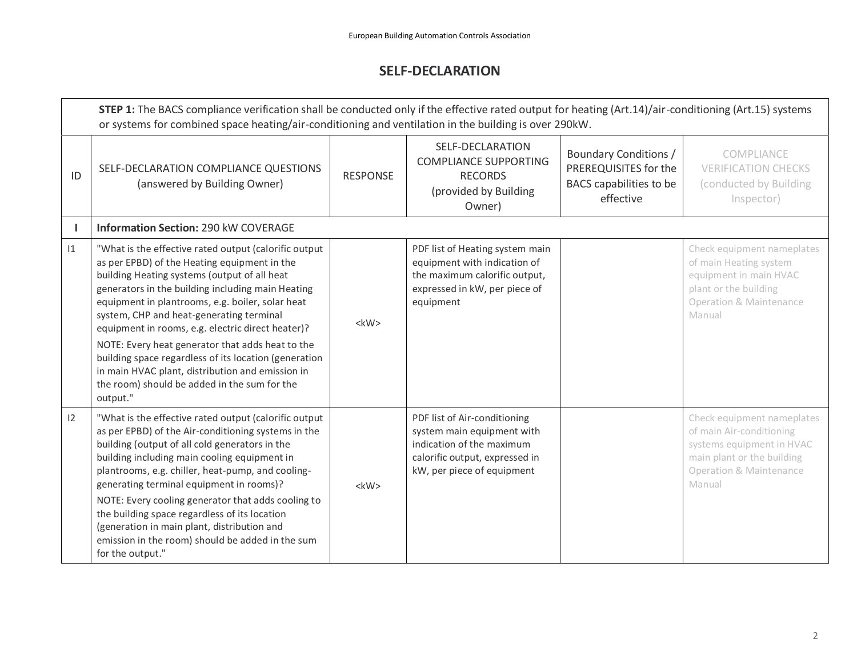## **SELF-DECLARATION**

|    | STEP 1: The BACS compliance verification shall be conducted only if the effective rated output for heating (Art.14)/air-conditioning (Art.15) systems<br>or systems for combined space heating/air-conditioning and ventilation in the building is over 290kW.                                                                                                                                                                                                                                                                                                                               |                 |                                                                                                                                                         |                                                                                               |                                                                                                                                                                   |  |  |  |
|----|----------------------------------------------------------------------------------------------------------------------------------------------------------------------------------------------------------------------------------------------------------------------------------------------------------------------------------------------------------------------------------------------------------------------------------------------------------------------------------------------------------------------------------------------------------------------------------------------|-----------------|---------------------------------------------------------------------------------------------------------------------------------------------------------|-----------------------------------------------------------------------------------------------|-------------------------------------------------------------------------------------------------------------------------------------------------------------------|--|--|--|
| ID | SELF-DECLARATION COMPLIANCE QUESTIONS<br>(answered by Building Owner)                                                                                                                                                                                                                                                                                                                                                                                                                                                                                                                        | <b>RESPONSE</b> | SELF-DECLARATION<br><b>COMPLIANCE SUPPORTING</b><br><b>RECORDS</b><br>(provided by Building<br>Owner)                                                   | <b>Boundary Conditions /</b><br>PREREQUISITES for the<br>BACS capabilities to be<br>effective | COMPLIANCE<br><b>VERIFICATION CHECKS</b><br>(conducted by Building<br>Inspector)                                                                                  |  |  |  |
|    | <b>Information Section: 290 kW COVERAGE</b>                                                                                                                                                                                                                                                                                                                                                                                                                                                                                                                                                  |                 |                                                                                                                                                         |                                                                                               |                                                                                                                                                                   |  |  |  |
| 1  | "What is the effective rated output (calorific output<br>as per EPBD) of the Heating equipment in the<br>building Heating systems (output of all heat<br>generators in the building including main Heating<br>equipment in plantrooms, e.g. boiler, solar heat<br>system, CHP and heat-generating terminal<br>equipment in rooms, e.g. electric direct heater)?<br>NOTE: Every heat generator that adds heat to the<br>building space regardless of its location (generation<br>in main HVAC plant, distribution and emission in<br>the room) should be added in the sum for the<br>output." | <kw></kw>       | PDF list of Heating system main<br>equipment with indication of<br>the maximum calorific output,<br>expressed in kW, per piece of<br>equipment          |                                                                                               | Check equipment nameplates<br>of main Heating system<br>equipment in main HVAC<br>plant or the building<br>Operation & Maintenance<br>Manual                      |  |  |  |
| 12 | "What is the effective rated output (calorific output<br>as per EPBD) of the Air-conditioning systems in the<br>building (output of all cold generators in the<br>building including main cooling equipment in<br>plantrooms, e.g. chiller, heat-pump, and cooling-<br>generating terminal equipment in rooms)?<br>NOTE: Every cooling generator that adds cooling to<br>the building space regardless of its location<br>(generation in main plant, distribution and<br>emission in the room) should be added in the sum<br>for the output."                                                | $<$ kW $>$      | PDF list of Air-conditioning<br>system main equipment with<br>indication of the maximum<br>calorific output, expressed in<br>kW, per piece of equipment |                                                                                               | Check equipment nameplates<br>of main Air-conditioning<br>systems equipment in HVAC<br>main plant or the building<br><b>Operation &amp; Maintenance</b><br>Manual |  |  |  |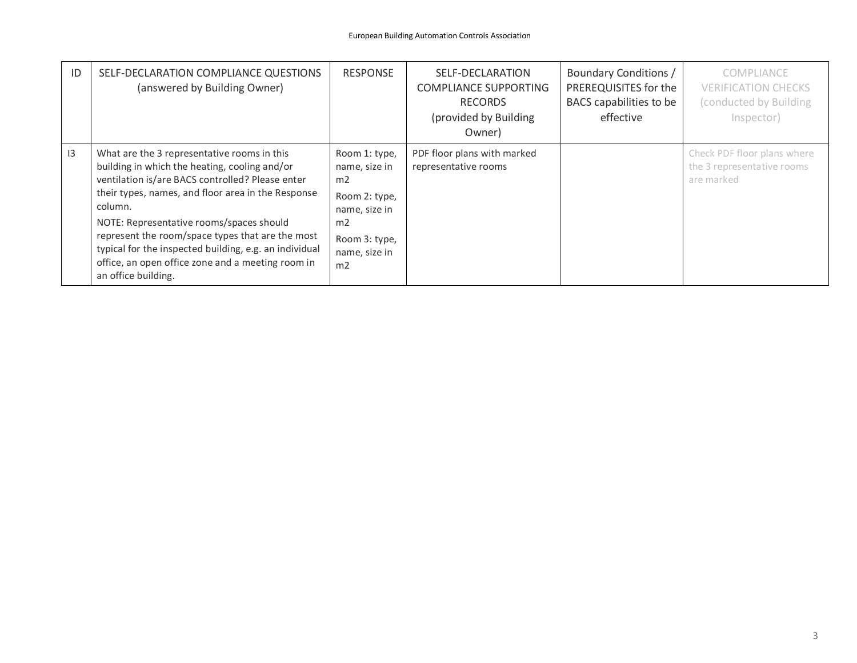| ID | SELF-DECLARATION COMPLIANCE QUESTIONS<br>(answered by Building Owner)                                                                                                                                                                                                                                                                                                                                                                                   | <b>RESPONSE</b>                                                                                                                                          | SELF-DECLARATION<br><b>COMPLIANCE SUPPORTING</b><br><b>RECORDS</b><br>(provided by Building<br>Owner) | Boundary Conditions /<br>PREREQUISITES for the<br>BACS capabilities to be<br>effective | COMPLIANCE<br><b>VERIFICATION CHECKS</b><br>(conducted by Building<br>Inspector) |
|----|---------------------------------------------------------------------------------------------------------------------------------------------------------------------------------------------------------------------------------------------------------------------------------------------------------------------------------------------------------------------------------------------------------------------------------------------------------|----------------------------------------------------------------------------------------------------------------------------------------------------------|-------------------------------------------------------------------------------------------------------|----------------------------------------------------------------------------------------|----------------------------------------------------------------------------------|
| 13 | What are the 3 representative rooms in this<br>building in which the heating, cooling and/or<br>ventilation is/are BACS controlled? Please enter<br>their types, names, and floor area in the Response<br>column.<br>NOTE: Representative rooms/spaces should<br>represent the room/space types that are the most<br>typical for the inspected building, e.g. an individual<br>office, an open office zone and a meeting room in<br>an office building. | Room 1: type,<br>name, size in<br>m <sub>2</sub><br>Room 2: type,<br>name, size in<br>m <sub>2</sub><br>Room 3: type,<br>name, size in<br>m <sub>2</sub> | PDF floor plans with marked<br>representative rooms                                                   |                                                                                        | Check PDF floor plans where<br>the 3 representative rooms<br>are marked          |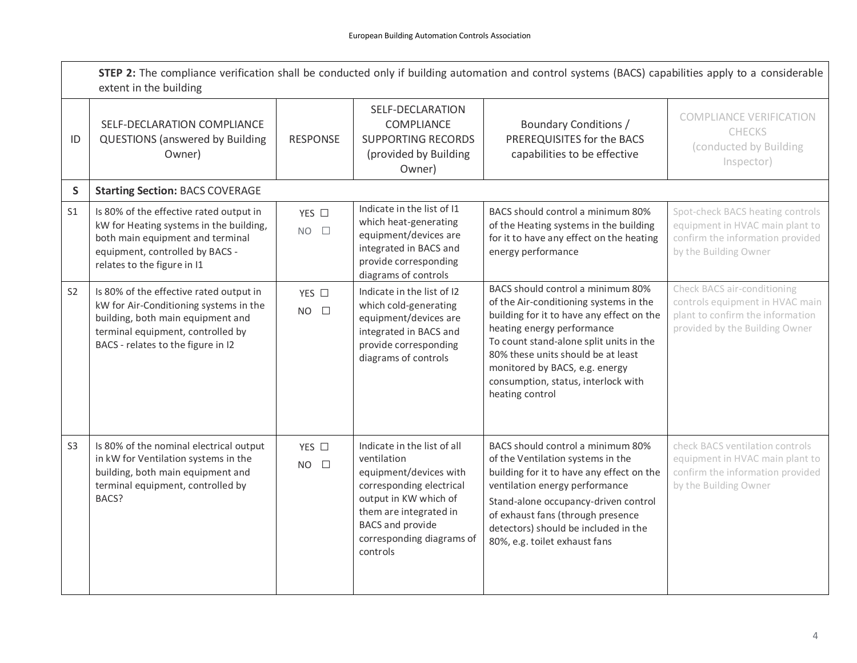|                | STEP 2: The compliance verification shall be conducted only if building automation and control systems (BACS) capabilities apply to a considerable<br>extent in the building                      |                                 |                                                                                                                                                                                                                         |                                                                                                                                                                                                                                                                                                                                     |                                                                                                                                      |
|----------------|---------------------------------------------------------------------------------------------------------------------------------------------------------------------------------------------------|---------------------------------|-------------------------------------------------------------------------------------------------------------------------------------------------------------------------------------------------------------------------|-------------------------------------------------------------------------------------------------------------------------------------------------------------------------------------------------------------------------------------------------------------------------------------------------------------------------------------|--------------------------------------------------------------------------------------------------------------------------------------|
| ID             | SELF-DECLARATION COMPLIANCE<br><b>QUESTIONS</b> (answered by Building<br>Owner)                                                                                                                   | <b>RESPONSE</b>                 | SELF-DECLARATION<br>COMPLIANCE<br><b>SUPPORTING RECORDS</b><br>(provided by Building<br>Owner)                                                                                                                          | <b>Boundary Conditions /</b><br>PREREQUISITES for the BACS<br>capabilities to be effective                                                                                                                                                                                                                                          | <b>COMPLIANCE VERIFICATION</b><br><b>CHECKS</b><br>(conducted by Building<br>Inspector)                                              |
| S              | <b>Starting Section: BACS COVERAGE</b>                                                                                                                                                            |                                 |                                                                                                                                                                                                                         |                                                                                                                                                                                                                                                                                                                                     |                                                                                                                                      |
| S <sub>1</sub> | Is 80% of the effective rated output in<br>kW for Heating systems in the building,<br>both main equipment and terminal<br>equipment, controlled by BACS -<br>relates to the figure in I1          | YES $\square$<br>$NO$ $\square$ | Indicate in the list of I1<br>which heat-generating<br>equipment/devices are<br>integrated in BACS and<br>provide corresponding<br>diagrams of controls                                                                 | BACS should control a minimum 80%<br>of the Heating systems in the building<br>for it to have any effect on the heating<br>energy performance                                                                                                                                                                                       | Spot-check BACS heating controls<br>equipment in HVAC main plant to<br>confirm the information provided<br>by the Building Owner     |
| S <sub>2</sub> | Is 80% of the effective rated output in<br>kW for Air-Conditioning systems in the<br>building, both main equipment and<br>terminal equipment, controlled by<br>BACS - relates to the figure in I2 | YES $\square$<br>$NO$ $\square$ | Indicate in the list of I2<br>which cold-generating<br>equipment/devices are<br>integrated in BACS and<br>provide corresponding<br>diagrams of controls                                                                 | BACS should control a minimum 80%<br>of the Air-conditioning systems in the<br>building for it to have any effect on the<br>heating energy performance<br>To count stand-alone split units in the<br>80% these units should be at least<br>monitored by BACS, e.g. energy<br>consumption, status, interlock with<br>heating control | Check BACS air-conditioning<br>controls equipment in HVAC main<br>plant to confirm the information<br>provided by the Building Owner |
| S <sub>3</sub> | Is 80% of the nominal electrical output<br>in kW for Ventilation systems in the<br>building, both main equipment and<br>terminal equipment, controlled by<br>BACS?                                | YES □<br><b>NO</b><br>$\Box$    | Indicate in the list of all<br>ventilation<br>equipment/devices with<br>corresponding electrical<br>output in KW which of<br>them are integrated in<br><b>BACS</b> and provide<br>corresponding diagrams of<br>controls | BACS should control a minimum 80%<br>of the Ventilation systems in the<br>building for it to have any effect on the<br>ventilation energy performance<br>Stand-alone occupancy-driven control<br>of exhaust fans (through presence<br>detectors) should be included in the<br>80%, e.g. toilet exhaust fans                         | check BACS ventilation controls<br>equipment in HVAC main plant to<br>confirm the information provided<br>by the Building Owner      |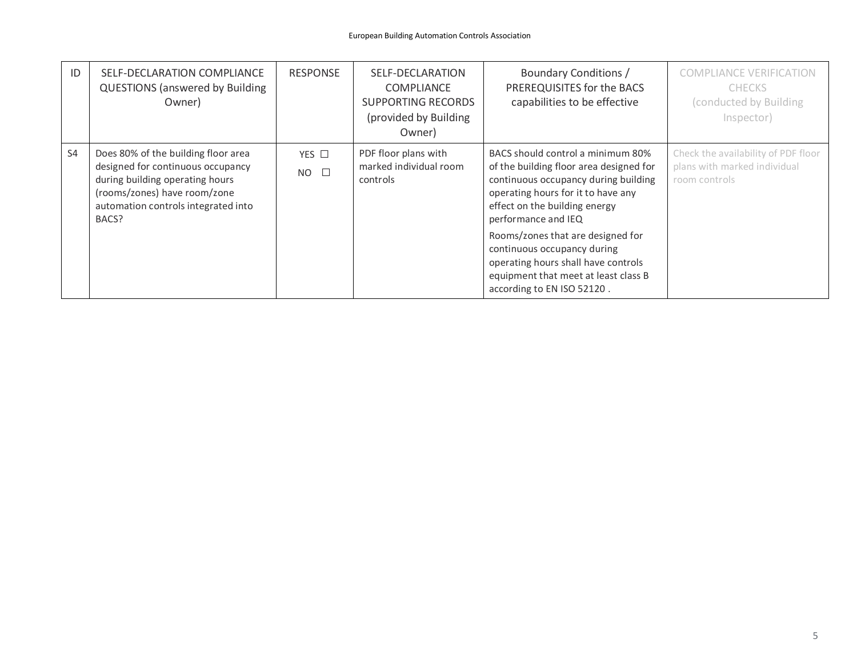| ID             | SELF-DECLARATION COMPLIANCE<br><b>QUESTIONS (answered by Building</b><br>Owner)                                                                                                             | <b>RESPONSE</b>              | SELF-DECLARATION<br><b>COMPLIANCE</b><br><b>SUPPORTING RECORDS</b><br>(provided by Building<br>Owner) | <b>Boundary Conditions /</b><br>PREREQUISITES for the BACS<br>capabilities to be effective                                                                                                                                                                                                                                                                            | <b>COMPLIANCE VERIFICATION</b><br><b>CHECKS</b><br>(conducted by Building)<br>Inspector) |
|----------------|---------------------------------------------------------------------------------------------------------------------------------------------------------------------------------------------|------------------------------|-------------------------------------------------------------------------------------------------------|-----------------------------------------------------------------------------------------------------------------------------------------------------------------------------------------------------------------------------------------------------------------------------------------------------------------------------------------------------------------------|------------------------------------------------------------------------------------------|
| S <sub>4</sub> | Does 80% of the building floor area<br>designed for continuous occupancy<br>during building operating hours<br>(rooms/zones) have room/zone<br>automation controls integrated into<br>BACS? | YES $\Box$<br>$NO$ $\square$ | PDF floor plans with<br>marked individual room<br>controls                                            | BACS should control a minimum 80%<br>of the building floor area designed for<br>continuous occupancy during building<br>operating hours for it to have any<br>effect on the building energy<br>performance and IEQ<br>Rooms/zones that are designed for<br>continuous occupancy during<br>operating hours shall have controls<br>equipment that meet at least class B | Check the availability of PDF floor<br>plans with marked individual<br>room controls     |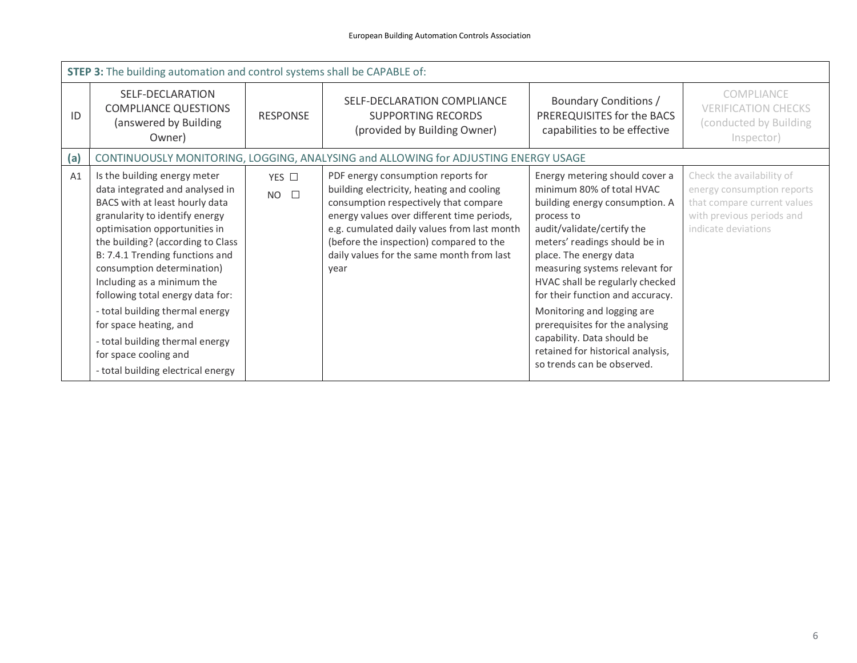|     | <b>STEP 3:</b> The building automation and control systems shall be CAPABLE of:                                                                                                                                                                                                                                                                                                                                                                                                                             |                           |                                                                                                                                                                                                                                                                                                                       |                                                                                                                                                                                                                                                                                                                                                                                                                                                                                 |                                                                                                                                            |  |  |
|-----|-------------------------------------------------------------------------------------------------------------------------------------------------------------------------------------------------------------------------------------------------------------------------------------------------------------------------------------------------------------------------------------------------------------------------------------------------------------------------------------------------------------|---------------------------|-----------------------------------------------------------------------------------------------------------------------------------------------------------------------------------------------------------------------------------------------------------------------------------------------------------------------|---------------------------------------------------------------------------------------------------------------------------------------------------------------------------------------------------------------------------------------------------------------------------------------------------------------------------------------------------------------------------------------------------------------------------------------------------------------------------------|--------------------------------------------------------------------------------------------------------------------------------------------|--|--|
| ID  | SELF-DECLARATION<br><b>COMPLIANCE QUESTIONS</b><br>(answered by Building<br>Owner)                                                                                                                                                                                                                                                                                                                                                                                                                          | <b>RESPONSE</b>           | SELF-DECLARATION COMPLIANCE<br><b>SUPPORTING RECORDS</b><br>(provided by Building Owner)                                                                                                                                                                                                                              | Boundary Conditions /<br>PREREQUISITES for the BACS<br>capabilities to be effective                                                                                                                                                                                                                                                                                                                                                                                             | <b>COMPLIANCE</b><br><b>VERIFICATION CHECKS</b><br>(conducted by Building<br>Inspector)                                                    |  |  |
| (a) |                                                                                                                                                                                                                                                                                                                                                                                                                                                                                                             |                           | CONTINUOUSLY MONITORING, LOGGING, ANALYSING and ALLOWING for ADJUSTING ENERGY USAGE                                                                                                                                                                                                                                   |                                                                                                                                                                                                                                                                                                                                                                                                                                                                                 |                                                                                                                                            |  |  |
| A1  | Is the building energy meter<br>data integrated and analysed in<br>BACS with at least hourly data<br>granularity to identify energy<br>optimisation opportunities in<br>the building? (according to Class<br>B: 7.4.1 Trending functions and<br>consumption determination)<br>Including as a minimum the<br>following total energy data for:<br>- total building thermal energy<br>for space heating, and<br>- total building thermal energy<br>for space cooling and<br>- total building electrical energy | YES $\Box$<br>$NO$ $\Box$ | PDF energy consumption reports for<br>building electricity, heating and cooling<br>consumption respectively that compare<br>energy values over different time periods,<br>e.g. cumulated daily values from last month<br>(before the inspection) compared to the<br>daily values for the same month from last<br>year | Energy metering should cover a<br>minimum 80% of total HVAC<br>building energy consumption. A<br>process to<br>audit/validate/certify the<br>meters' readings should be in<br>place. The energy data<br>measuring systems relevant for<br>HVAC shall be regularly checked<br>for their function and accuracy.<br>Monitoring and logging are<br>prerequisites for the analysing<br>capability. Data should be<br>retained for historical analysis,<br>so trends can be observed. | Check the availability of<br>energy consumption reports<br>that compare current values<br>with previous periods and<br>indicate deviations |  |  |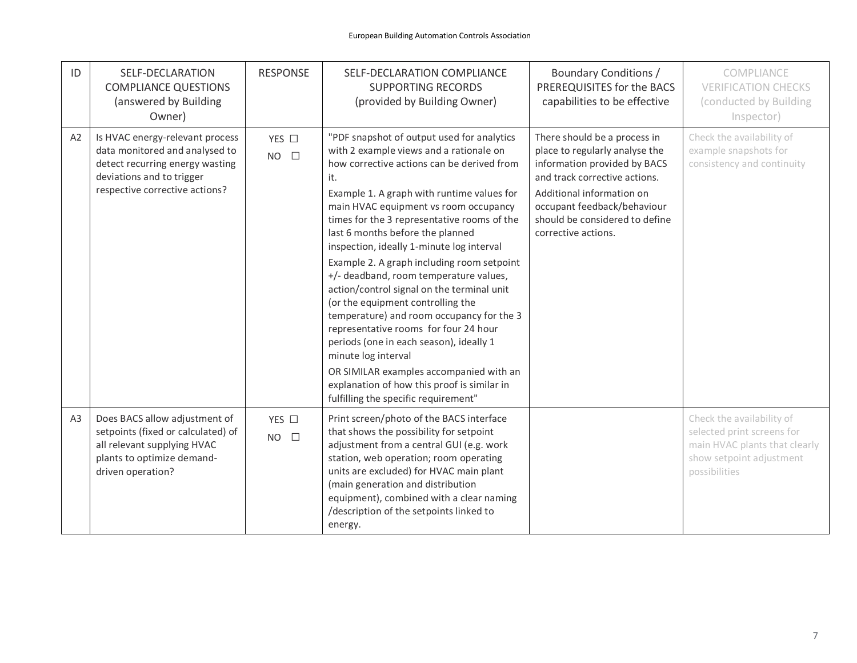| ID             | SELF-DECLARATION<br><b>COMPLIANCE QUESTIONS</b><br>(answered by Building<br>Owner)                                                                                  | <b>RESPONSE</b>                 | SELF-DECLARATION COMPLIANCE<br><b>SUPPORTING RECORDS</b><br>(provided by Building Owner)                                                                                                                                                                                                                                                                                                                                                                                                                                                                                                                                                                                                                                                                                                                                               | <b>Boundary Conditions /</b><br>PREREQUISITES for the BACS<br>capabilities to be effective                                                                                                                                                           | COMPLIANCE<br><b>VERIFICATION CHECKS</b><br>(conducted by Building<br>Inspector)                                                      |
|----------------|---------------------------------------------------------------------------------------------------------------------------------------------------------------------|---------------------------------|----------------------------------------------------------------------------------------------------------------------------------------------------------------------------------------------------------------------------------------------------------------------------------------------------------------------------------------------------------------------------------------------------------------------------------------------------------------------------------------------------------------------------------------------------------------------------------------------------------------------------------------------------------------------------------------------------------------------------------------------------------------------------------------------------------------------------------------|------------------------------------------------------------------------------------------------------------------------------------------------------------------------------------------------------------------------------------------------------|---------------------------------------------------------------------------------------------------------------------------------------|
| A2             | Is HVAC energy-relevant process<br>data monitored and analysed to<br>detect recurring energy wasting<br>deviations and to trigger<br>respective corrective actions? | YES $\square$<br>$NO$ $\square$ | "PDF snapshot of output used for analytics<br>with 2 example views and a rationale on<br>how corrective actions can be derived from<br>it.<br>Example 1. A graph with runtime values for<br>main HVAC equipment vs room occupancy<br>times for the 3 representative rooms of the<br>last 6 months before the planned<br>inspection, ideally 1-minute log interval<br>Example 2. A graph including room setpoint<br>+/- deadband, room temperature values,<br>action/control signal on the terminal unit<br>(or the equipment controlling the<br>temperature) and room occupancy for the 3<br>representative rooms for four 24 hour<br>periods (one in each season), ideally 1<br>minute log interval<br>OR SIMILAR examples accompanied with an<br>explanation of how this proof is similar in<br>fulfilling the specific requirement" | There should be a process in<br>place to regularly analyse the<br>information provided by BACS<br>and track corrective actions.<br>Additional information on<br>occupant feedback/behaviour<br>should be considered to define<br>corrective actions. | Check the availability of<br>example snapshots for<br>consistency and continuity                                                      |
| A <sub>3</sub> | Does BACS allow adjustment of<br>setpoints (fixed or calculated) of<br>all relevant supplying HVAC<br>plants to optimize demand-<br>driven operation?               | YES $\square$<br>$NO$ $\square$ | Print screen/photo of the BACS interface<br>that shows the possibility for setpoint<br>adjustment from a central GUI (e.g. work<br>station, web operation; room operating<br>units are excluded) for HVAC main plant<br>(main generation and distribution<br>equipment), combined with a clear naming<br>/description of the setpoints linked to<br>energy.                                                                                                                                                                                                                                                                                                                                                                                                                                                                            |                                                                                                                                                                                                                                                      | Check the availability of<br>selected print screens for<br>main HVAC plants that clearly<br>show setpoint adjustment<br>possibilities |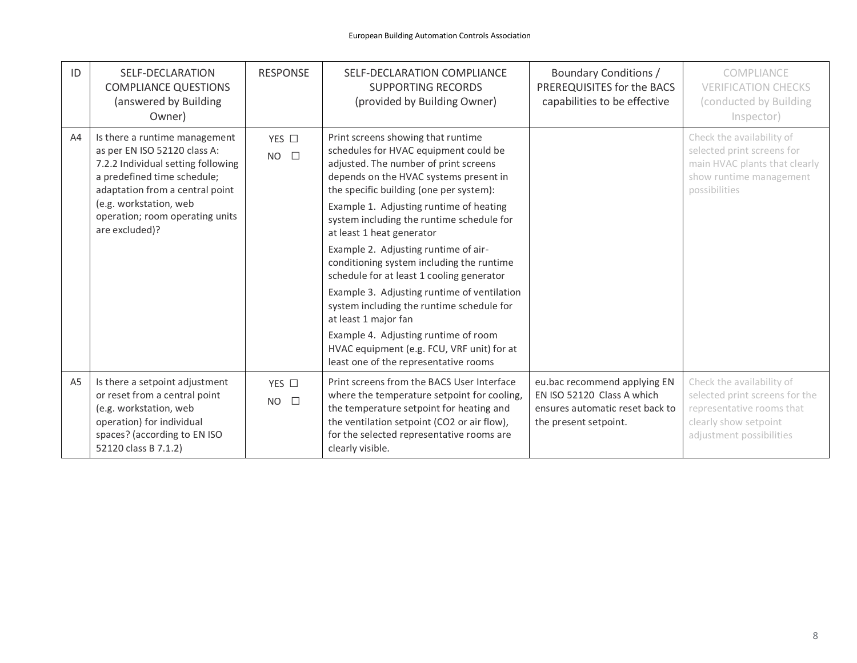| ID             | SELF-DECLARATION<br><b>COMPLIANCE QUESTIONS</b><br>(answered by Building<br>Owner)                                                                                                                                                                   | <b>RESPONSE</b>              | SELF-DECLARATION COMPLIANCE<br><b>SUPPORTING RECORDS</b><br>(provided by Building Owner)                                                                                                                                                                                                                                                                                                                                                                                                                                                                                                                                                                                                                            | Boundary Conditions /<br>PREREQUISITES for the BACS<br>capabilities to be effective                                    | COMPLIANCE<br><b>VERIFICATION CHECKS</b><br>(conducted by Building<br>Inspector)                                                              |
|----------------|------------------------------------------------------------------------------------------------------------------------------------------------------------------------------------------------------------------------------------------------------|------------------------------|---------------------------------------------------------------------------------------------------------------------------------------------------------------------------------------------------------------------------------------------------------------------------------------------------------------------------------------------------------------------------------------------------------------------------------------------------------------------------------------------------------------------------------------------------------------------------------------------------------------------------------------------------------------------------------------------------------------------|------------------------------------------------------------------------------------------------------------------------|-----------------------------------------------------------------------------------------------------------------------------------------------|
| A4             | Is there a runtime management<br>as per EN ISO 52120 class A:<br>7.2.2 Individual setting following<br>a predefined time schedule;<br>adaptation from a central point<br>(e.g. workstation, web<br>operation; room operating units<br>are excluded)? | YES $\Box$<br>$NO$ $\square$ | Print screens showing that runtime<br>schedules for HVAC equipment could be<br>adjusted. The number of print screens<br>depends on the HVAC systems present in<br>the specific building (one per system):<br>Example 1. Adjusting runtime of heating<br>system including the runtime schedule for<br>at least 1 heat generator<br>Example 2. Adjusting runtime of air-<br>conditioning system including the runtime<br>schedule for at least 1 cooling generator<br>Example 3. Adjusting runtime of ventilation<br>system including the runtime schedule for<br>at least 1 major fan<br>Example 4. Adjusting runtime of room<br>HVAC equipment (e.g. FCU, VRF unit) for at<br>least one of the representative rooms |                                                                                                                        | Check the availability of<br>selected print screens for<br>main HVAC plants that clearly<br>show runtime management<br>possibilities          |
| A <sub>5</sub> | Is there a setpoint adjustment<br>or reset from a central point<br>(e.g. workstation, web<br>operation) for individual<br>spaces? (according to EN ISO<br>52120 class B 7.1.2)                                                                       | YES □<br>$NO$ $\square$      | Print screens from the BACS User Interface<br>where the temperature setpoint for cooling,<br>the temperature setpoint for heating and<br>the ventilation setpoint (CO2 or air flow),<br>for the selected representative rooms are<br>clearly visible.                                                                                                                                                                                                                                                                                                                                                                                                                                                               | eu.bac recommend applying EN<br>EN ISO 52120 Class A which<br>ensures automatic reset back to<br>the present setpoint. | Check the availability of<br>selected print screens for the<br>representative rooms that<br>clearly show setpoint<br>adjustment possibilities |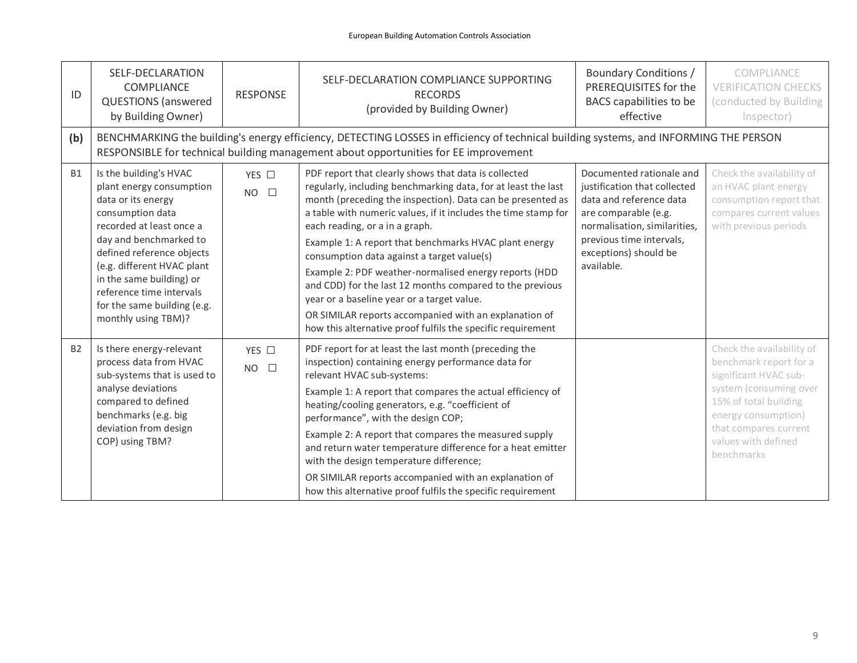| ID        | SELF-DECLARATION<br>COMPLIANCE<br><b>QUESTIONS</b> (answered<br>by Building Owner)                                                                                                                                                                                                                                          | <b>RESPONSE</b>                 | SELF-DECLARATION COMPLIANCE SUPPORTING<br><b>RECORDS</b><br>(provided by Building Owner)                                                                                                                                                                                                                                                                                                                                                                                                                                                                                                                                                                                                  | Boundary Conditions /<br>PREREQUISITES for the<br>BACS capabilities to be<br>effective                                                                                                                         | COMPLIANCE<br><b>VERIFICATION CHECKS</b><br>(conducted by Building<br>Inspector)                                                                                                                                     |  |  |  |
|-----------|-----------------------------------------------------------------------------------------------------------------------------------------------------------------------------------------------------------------------------------------------------------------------------------------------------------------------------|---------------------------------|-------------------------------------------------------------------------------------------------------------------------------------------------------------------------------------------------------------------------------------------------------------------------------------------------------------------------------------------------------------------------------------------------------------------------------------------------------------------------------------------------------------------------------------------------------------------------------------------------------------------------------------------------------------------------------------------|----------------------------------------------------------------------------------------------------------------------------------------------------------------------------------------------------------------|----------------------------------------------------------------------------------------------------------------------------------------------------------------------------------------------------------------------|--|--|--|
| (b)       | BENCHMARKING the building's energy efficiency, DETECTING LOSSES in efficiency of technical building systems, and INFORMING THE PERSON<br>RESPONSIBLE for technical building management about opportunities for EE improvement                                                                                               |                                 |                                                                                                                                                                                                                                                                                                                                                                                                                                                                                                                                                                                                                                                                                           |                                                                                                                                                                                                                |                                                                                                                                                                                                                      |  |  |  |
| <b>B1</b> | Is the building's HVAC<br>plant energy consumption<br>data or its energy<br>consumption data<br>recorded at least once a<br>day and benchmarked to<br>defined reference objects<br>(e.g. different HVAC plant<br>in the same building) or<br>reference time intervals<br>for the same building (e.g.<br>monthly using TBM)? | YES □<br>$NO$ $\square$         | PDF report that clearly shows that data is collected<br>regularly, including benchmarking data, for at least the last<br>month (preceding the inspection). Data can be presented as<br>a table with numeric values, if it includes the time stamp for<br>each reading, or a in a graph.<br>Example 1: A report that benchmarks HVAC plant energy<br>consumption data against a target value(s)<br>Example 2: PDF weather-normalised energy reports (HDD<br>and CDD) for the last 12 months compared to the previous<br>year or a baseline year or a target value.<br>OR SIMILAR reports accompanied with an explanation of<br>how this alternative proof fulfils the specific requirement | Documented rationale and<br>justification that collected<br>data and reference data<br>are comparable (e.g.<br>normalisation, similarities,<br>previous time intervals,<br>exceptions) should be<br>available. | Check the availability of<br>an HVAC plant energy<br>consumption report that<br>compares current values<br>with previous periods                                                                                     |  |  |  |
| <b>B2</b> | Is there energy-relevant<br>process data from HVAC<br>sub-systems that is used to<br>analyse deviations<br>compared to defined<br>benchmarks (e.g. big<br>deviation from design<br>COP) using TBM?                                                                                                                          | YES $\square$<br>$NO$ $\square$ | PDF report for at least the last month (preceding the<br>inspection) containing energy performance data for<br>relevant HVAC sub-systems:<br>Example 1: A report that compares the actual efficiency of<br>heating/cooling generators, e.g. "coefficient of<br>performance", with the design COP;<br>Example 2: A report that compares the measured supply<br>and return water temperature difference for a heat emitter<br>with the design temperature difference;<br>OR SIMILAR reports accompanied with an explanation of<br>how this alternative proof fulfils the specific requirement                                                                                               |                                                                                                                                                                                                                | Check the availability of<br>benchmark report for a<br>significant HVAC sub-<br>system (consuming over<br>15% of total building<br>energy consumption)<br>that compares current<br>values with defined<br>benchmarks |  |  |  |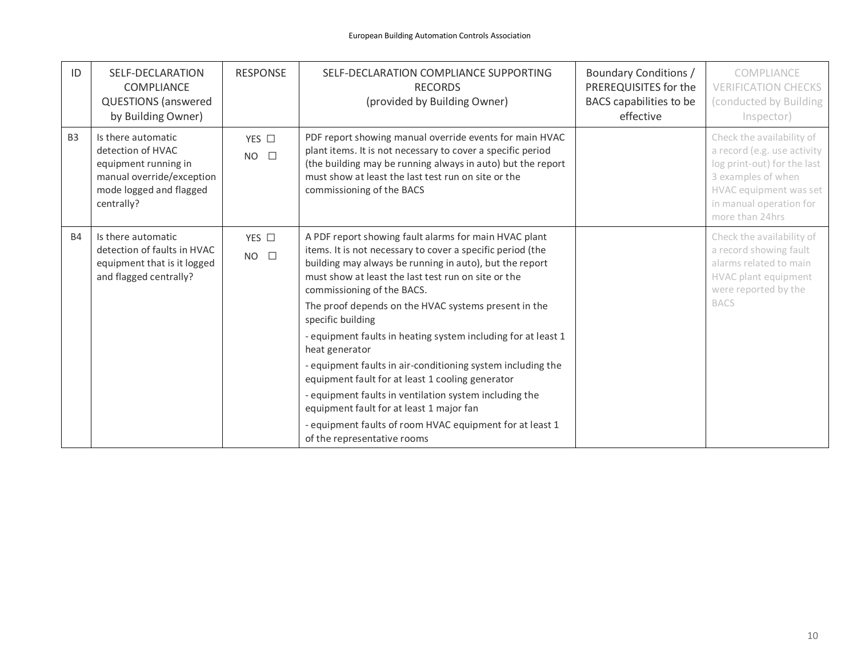| ID        | SELF-DECLARATION<br><b>COMPLIANCE</b><br><b>QUESTIONS</b> (answered<br>by Building Owner)                                             | <b>RESPONSE</b>              | SELF-DECLARATION COMPLIANCE SUPPORTING<br><b>RECORDS</b><br>(provided by Building Owner)                                                                                                                                                                                                                                                                                                                                            | Boundary Conditions /<br>PREREQUISITES for the<br>BACS capabilities to be<br>effective | COMPLIANCE<br><b>VERIFICATION CHECKS</b><br>(conducted by Building<br>Inspector)                                                                                                      |
|-----------|---------------------------------------------------------------------------------------------------------------------------------------|------------------------------|-------------------------------------------------------------------------------------------------------------------------------------------------------------------------------------------------------------------------------------------------------------------------------------------------------------------------------------------------------------------------------------------------------------------------------------|----------------------------------------------------------------------------------------|---------------------------------------------------------------------------------------------------------------------------------------------------------------------------------------|
| <b>B3</b> | Is there automatic<br>detection of HVAC<br>equipment running in<br>manual override/exception<br>mode logged and flagged<br>centrally? | YES □<br>$NO$ $\square$      | PDF report showing manual override events for main HVAC<br>plant items. It is not necessary to cover a specific period<br>(the building may be running always in auto) but the report<br>must show at least the last test run on site or the<br>commissioning of the BACS                                                                                                                                                           |                                                                                        | Check the availability of<br>a record (e.g. use activity<br>log print-out) for the last<br>3 examples of when<br>HVAC equipment was set<br>in manual operation for<br>more than 24hrs |
| <b>B4</b> | Is there automatic<br>detection of faults in HVAC<br>equipment that is it logged<br>and flagged centrally?                            | YES $\Box$<br>$NO$ $\square$ | A PDF report showing fault alarms for main HVAC plant<br>items. It is not necessary to cover a specific period (the<br>building may always be running in auto), but the report<br>must show at least the last test run on site or the<br>commissioning of the BACS.<br>The proof depends on the HVAC systems present in the<br>specific building<br>- equipment faults in heating system including for at least 1<br>heat generator |                                                                                        | Check the availability of<br>a record showing fault<br>alarms related to main<br>HVAC plant equipment<br>were reported by the<br><b>BACS</b>                                          |
|           |                                                                                                                                       |                              | - equipment faults in air-conditioning system including the<br>equipment fault for at least 1 cooling generator<br>- equipment faults in ventilation system including the<br>equipment fault for at least 1 major fan<br>- equipment faults of room HVAC equipment for at least 1<br>of the representative rooms                                                                                                                    |                                                                                        |                                                                                                                                                                                       |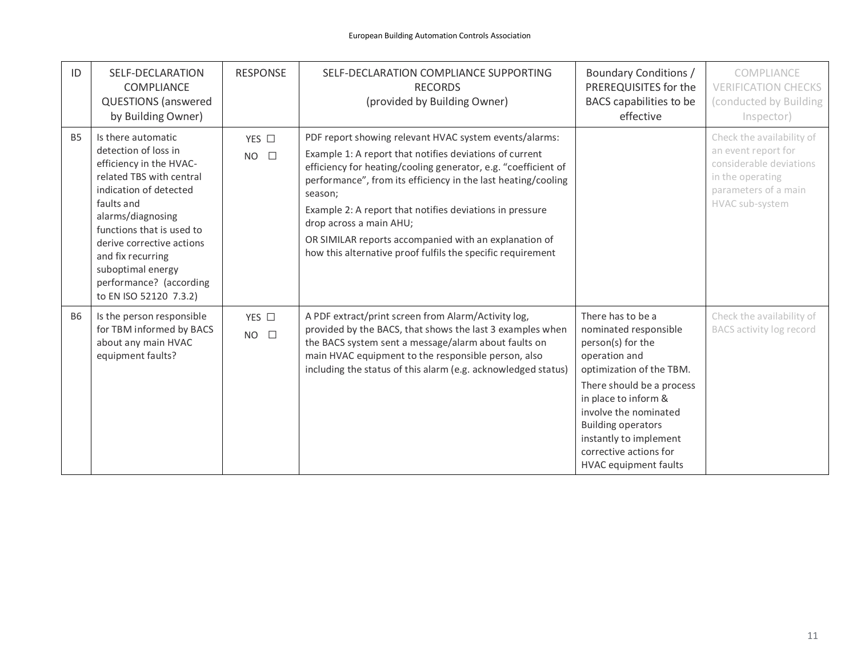| ID        | SELF-DECLARATION<br><b>COMPLIANCE</b><br><b>QUESTIONS</b> (answered<br>by Building Owner)                                                                                                                                                                                                                               | <b>RESPONSE</b>                 | SELF-DECLARATION COMPLIANCE SUPPORTING<br><b>RECORDS</b><br>(provided by Building Owner)                                                                                                                                                                                                                                                                                                                                                                                       | <b>Boundary Conditions /</b><br>PREREQUISITES for the<br>BACS capabilities to be<br>effective                                                                                                                                                                                                               | COMPLIANCE<br><b>VERIFICATION CHECKS</b><br>(conducted by Building<br>Inspector)                                                           |
|-----------|-------------------------------------------------------------------------------------------------------------------------------------------------------------------------------------------------------------------------------------------------------------------------------------------------------------------------|---------------------------------|--------------------------------------------------------------------------------------------------------------------------------------------------------------------------------------------------------------------------------------------------------------------------------------------------------------------------------------------------------------------------------------------------------------------------------------------------------------------------------|-------------------------------------------------------------------------------------------------------------------------------------------------------------------------------------------------------------------------------------------------------------------------------------------------------------|--------------------------------------------------------------------------------------------------------------------------------------------|
| <b>B5</b> | Is there automatic<br>detection of loss in<br>efficiency in the HVAC-<br>related TBS with central<br>indication of detected<br>faults and<br>alarms/diagnosing<br>functions that is used to<br>derive corrective actions<br>and fix recurring<br>suboptimal energy<br>performance? (according<br>to EN ISO 52120 7.3.2) | YES □<br>$NO$ $\square$         | PDF report showing relevant HVAC system events/alarms:<br>Example 1: A report that notifies deviations of current<br>efficiency for heating/cooling generator, e.g. "coefficient of<br>performance", from its efficiency in the last heating/cooling<br>season;<br>Example 2: A report that notifies deviations in pressure<br>drop across a main AHU;<br>OR SIMILAR reports accompanied with an explanation of<br>how this alternative proof fulfils the specific requirement |                                                                                                                                                                                                                                                                                                             | Check the availability of<br>an event report for<br>considerable deviations<br>in the operating<br>parameters of a main<br>HVAC sub-system |
| <b>B6</b> | Is the person responsible<br>for TBM informed by BACS<br>about any main HVAC<br>equipment faults?                                                                                                                                                                                                                       | YES $\square$<br>$NO$ $\square$ | A PDF extract/print screen from Alarm/Activity log,<br>provided by the BACS, that shows the last 3 examples when<br>the BACS system sent a message/alarm about faults on<br>main HVAC equipment to the responsible person, also<br>including the status of this alarm (e.g. acknowledged status)                                                                                                                                                                               | There has to be a<br>nominated responsible<br>person(s) for the<br>operation and<br>optimization of the TBM.<br>There should be a process<br>in place to inform &<br>involve the nominated<br><b>Building operators</b><br>instantly to implement<br>corrective actions for<br><b>HVAC</b> equipment faults | Check the availability of<br>BACS activity log record                                                                                      |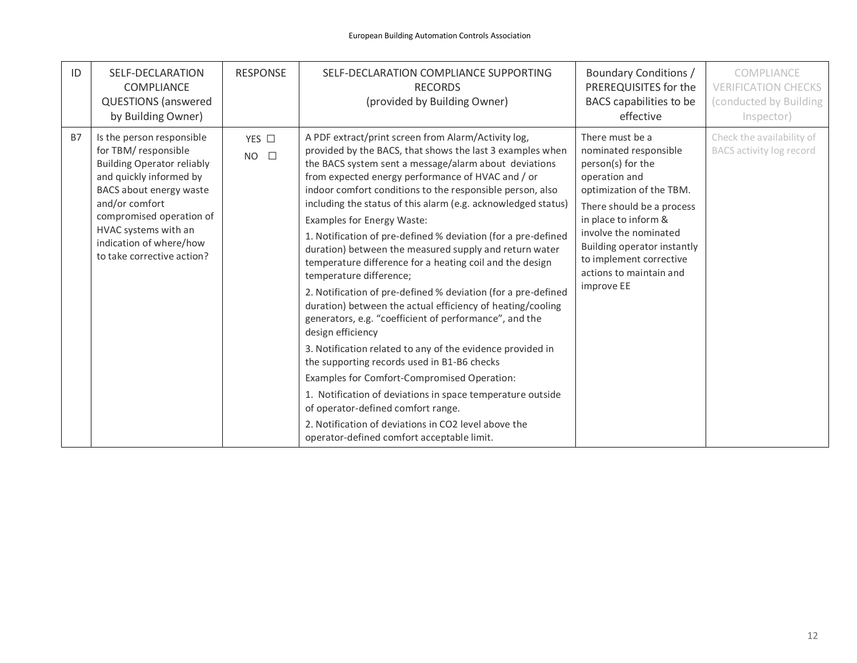| ID        | SELF-DECLARATION<br>COMPLIANCE<br><b>QUESTIONS</b> (answered<br>by Building Owner)                                                                                                                                                                                         | <b>RESPONSE</b>              | SELF-DECLARATION COMPLIANCE SUPPORTING<br><b>RECORDS</b><br>(provided by Building Owner)                                                                                                                                                                                                                                                                                                                                                                                                                                                                                                                                                                                                                                                                                                                                                                                                                                                                                                                                                                                                                                                                                                                | Boundary Conditions /<br>PREREQUISITES for the<br>BACS capabilities to be<br>effective                                                                                                                                                                                                      | COMPLIANCE<br><b>VERIFICATION CHECKS</b><br>(conducted by Building<br>Inspector) |
|-----------|----------------------------------------------------------------------------------------------------------------------------------------------------------------------------------------------------------------------------------------------------------------------------|------------------------------|---------------------------------------------------------------------------------------------------------------------------------------------------------------------------------------------------------------------------------------------------------------------------------------------------------------------------------------------------------------------------------------------------------------------------------------------------------------------------------------------------------------------------------------------------------------------------------------------------------------------------------------------------------------------------------------------------------------------------------------------------------------------------------------------------------------------------------------------------------------------------------------------------------------------------------------------------------------------------------------------------------------------------------------------------------------------------------------------------------------------------------------------------------------------------------------------------------|---------------------------------------------------------------------------------------------------------------------------------------------------------------------------------------------------------------------------------------------------------------------------------------------|----------------------------------------------------------------------------------|
| <b>B7</b> | Is the person responsible<br>for TBM/responsible<br><b>Building Operator reliably</b><br>and quickly informed by<br>BACS about energy waste<br>and/or comfort<br>compromised operation of<br>HVAC systems with an<br>indication of where/how<br>to take corrective action? | YES $\Box$<br>$NO$ $\square$ | A PDF extract/print screen from Alarm/Activity log,<br>provided by the BACS, that shows the last 3 examples when<br>the BACS system sent a message/alarm about deviations<br>from expected energy performance of HVAC and / or<br>indoor comfort conditions to the responsible person, also<br>including the status of this alarm (e.g. acknowledged status)<br><b>Examples for Energy Waste:</b><br>1. Notification of pre-defined % deviation (for a pre-defined<br>duration) between the measured supply and return water<br>temperature difference for a heating coil and the design<br>temperature difference;<br>2. Notification of pre-defined % deviation (for a pre-defined<br>duration) between the actual efficiency of heating/cooling<br>generators, e.g. "coefficient of performance", and the<br>design efficiency<br>3. Notification related to any of the evidence provided in<br>the supporting records used in B1-B6 checks<br>Examples for Comfort-Compromised Operation:<br>1. Notification of deviations in space temperature outside<br>of operator-defined comfort range.<br>2. Notification of deviations in CO2 level above the<br>operator-defined comfort acceptable limit. | There must be a<br>nominated responsible<br>person(s) for the<br>operation and<br>optimization of the TBM.<br>There should be a process<br>in place to inform &<br>involve the nominated<br>Building operator instantly<br>to implement corrective<br>actions to maintain and<br>improve EE | Check the availability of<br>BACS activity log record                            |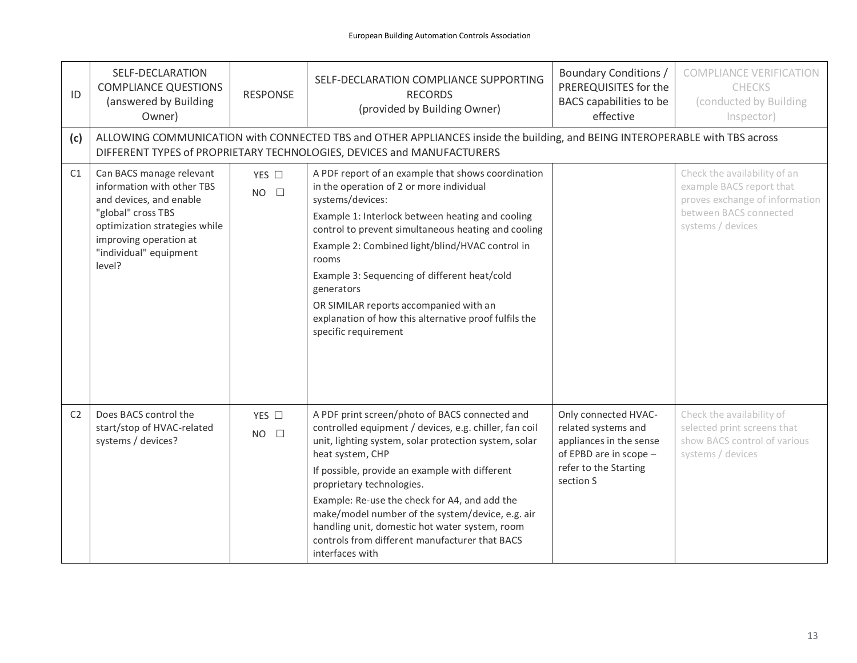| ID             | SELF-DECLARATION<br><b>COMPLIANCE QUESTIONS</b><br>(answered by Building<br>Owner)                                                                                                                     | <b>RESPONSE</b>         | SELF-DECLARATION COMPLIANCE SUPPORTING<br><b>RECORDS</b><br>(provided by Building Owner)                                                                                                                                                                                                                                                                                                                                                                                                         | <b>Boundary Conditions /</b><br>PREREQUISITES for the<br>BACS capabilities to be<br>effective                                          | <b>COMPLIANCE VERIFICATION</b><br><b>CHECKS</b><br>(conducted by Building<br>Inspector)                                                   |  |  |  |
|----------------|--------------------------------------------------------------------------------------------------------------------------------------------------------------------------------------------------------|-------------------------|--------------------------------------------------------------------------------------------------------------------------------------------------------------------------------------------------------------------------------------------------------------------------------------------------------------------------------------------------------------------------------------------------------------------------------------------------------------------------------------------------|----------------------------------------------------------------------------------------------------------------------------------------|-------------------------------------------------------------------------------------------------------------------------------------------|--|--|--|
| (c)            | ALLOWING COMMUNICATION with CONNECTED TBS and OTHER APPLIANCES inside the building, and BEING INTEROPERABLE with TBS across<br>DIFFERENT TYPES of PROPRIETARY TECHNOLOGIES, DEVICES and MANUFACTURERS  |                         |                                                                                                                                                                                                                                                                                                                                                                                                                                                                                                  |                                                                                                                                        |                                                                                                                                           |  |  |  |
| C1             | Can BACS manage relevant<br>information with other TBS<br>and devices, and enable<br>"global" cross TBS<br>optimization strategies while<br>improving operation at<br>"individual" equipment<br>level? | YES □<br>$NO$ $\square$ | A PDF report of an example that shows coordination<br>in the operation of 2 or more individual<br>systems/devices:<br>Example 1: Interlock between heating and cooling<br>control to prevent simultaneous heating and cooling<br>Example 2: Combined light/blind/HVAC control in<br>rooms<br>Example 3: Sequencing of different heat/cold<br>generators<br>OR SIMILAR reports accompanied with an<br>explanation of how this alternative proof fulfils the<br>specific requirement               |                                                                                                                                        | Check the availability of an<br>example BACS report that<br>proves exchange of information<br>between BACS connected<br>systems / devices |  |  |  |
| C <sub>2</sub> | Does BACS control the<br>start/stop of HVAC-related<br>systems / devices?                                                                                                                              | YES □<br>$NO$ $\square$ | A PDF print screen/photo of BACS connected and<br>controlled equipment / devices, e.g. chiller, fan coil<br>unit, lighting system, solar protection system, solar<br>heat system, CHP<br>If possible, provide an example with different<br>proprietary technologies.<br>Example: Re-use the check for A4, and add the<br>make/model number of the system/device, e.g. air<br>handling unit, domestic hot water system, room<br>controls from different manufacturer that BACS<br>interfaces with | Only connected HVAC-<br>related systems and<br>appliances in the sense<br>of EPBD are in scope -<br>refer to the Starting<br>section S | Check the availability of<br>selected print screens that<br>show BACS control of various<br>systems / devices                             |  |  |  |